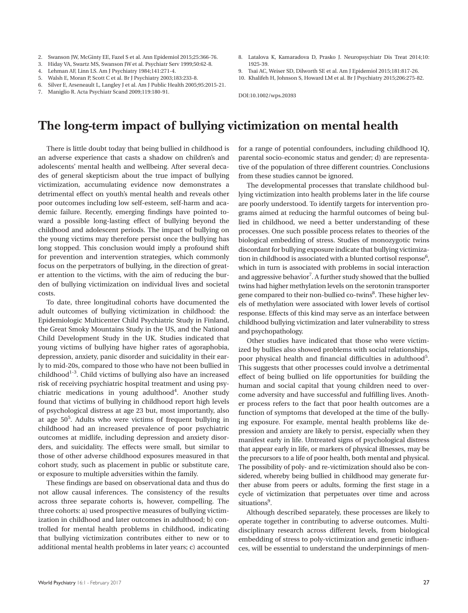- 2. Swanson JW, McGinty EE, Fazel S et al. Ann Epidemiol 2015;25:366-76.
- 3. Hiday VA, Swartz MS, Swanson JW et al. Psychiatr Serv 1999;50:62-8.
- 4. Lehman AF, Linn LS. Am J Psychiatry 1984;141:271-4.
- 5. Walsh E, Moran P, Scott C et al. Br J Psychiatry 2003;183:233-8.
- 6. Silver E, Arseneault L, Langley J et al. Am J Public Health 2005;95:2015-21.
- 7. Maniglio R. Acta Psychiatr Scand 2009;119:180-91.
- 
- 8. Latalova K, Kamaradova D, Prasko J. Neuropsychiatr Dis Treat 2014;10: 1925-39.
- 9. Tsai AC, Weiser SD, Dilworth SE et al. Am J Epidemiol 2015;181:817-26.
- 10. Khalifeh H, Johnson S, Howard LM et al. Br J Psychiatry 2015;206:275-82.

DOI:10.1002/wps.20393

## The long-term impact of bullying victimization on mental health

There is little doubt today that being bullied in childhood is an adverse experience that casts a shadow on children's and adolescents' mental health and wellbeing. After several decades of general skepticism about the true impact of bullying victimization, accumulating evidence now demonstrates a detrimental effect on youth's mental health and reveals other poor outcomes including low self-esteem, self-harm and academic failure. Recently, emerging findings have pointed toward a possible long-lasting effect of bullying beyond the childhood and adolescent periods. The impact of bullying on the young victims may therefore persist once the bullying has long stopped. This conclusion would imply a profound shift for prevention and intervention strategies, which commonly focus on the perpetrators of bullying, in the direction of greater attention to the victims, with the aim of reducing the burden of bullying victimization on individual lives and societal costs.

To date, three longitudinal cohorts have documented the adult outcomes of bullying victimization in childhood: the Epidemiologic Multicenter Child Psychiatric Study in Finland, the Great Smoky Mountains Study in the US, and the National Child Development Study in the UK. Studies indicated that young victims of bullying have higher rates of agoraphobia, depression, anxiety, panic disorder and suicidality in their early to mid-20s, compared to those who have not been bullied in childhood<sup>1-3</sup>. Child victims of bullying also have an increased risk of receiving psychiatric hospital treatment and using psychiatric medications in young adulthood<sup>4</sup>. Another study found that victims of bullying in childhood report high levels of psychological distress at age 23 but, most importantly, also at age  $50<sup>5</sup>$ . Adults who were victims of frequent bullying in childhood had an increased prevalence of poor psychiatric outcomes at midlife, including depression and anxiety disorders, and suicidality. The effects were small, but similar to those of other adverse childhood exposures measured in that cohort study, such as placement in public or substitute care, or exposure to multiple adversities within the family.

These findings are based on observational data and thus do not allow causal inferences. The consistency of the results across three separate cohorts is, however, compelling. The three cohorts: a) used prospective measures of bullying victimization in childhood and later outcomes in adulthood; b) controlled for mental health problems in childhood, indicating that bullying victimization contributes either to new or to additional mental health problems in later years; c) accounted for a range of potential confounders, including childhood IQ, parental socio-economic status and gender; d) are representative of the population of three different countries. Conclusions from these studies cannot be ignored.

The developmental processes that translate childhood bullying victimization into health problems later in the life course are poorly understood. To identify targets for intervention programs aimed at reducing the harmful outcomes of being bullied in childhood, we need a better understanding of these processes. One such possible process relates to theories of the biological embedding of stress. Studies of monozygotic twins discordant for bullying exposure indicate that bullying victimization in childhood is associated with a blunted cortisol response<sup>6</sup>, which in turn is associated with problems in social interaction and aggressive behavior<sup>7</sup>. A further study showed that the bullied twins had higher methylation levels on the serotonin transporter gene compared to their non-bullied co-twins<sup>8</sup>. These higher levels of methylation were associated with lower levels of cortisol response. Effects of this kind may serve as an interface between childhood bullying victimization and later vulnerability to stress and psychopathology.

Other studies have indicated that those who were victimized by bullies also showed problems with social relationships, poor physical health and financial difficulties in adulthood<sup>5</sup>. This suggests that other processes could involve a detrimental effect of being bullied on life opportunities for building the human and social capital that young children need to overcome adversity and have successful and fulfilling lives. Another process refers to the fact that poor health outcomes are a function of symptoms that developed at the time of the bullying exposure. For example, mental health problems like depression and anxiety are likely to persist, especially when they manifest early in life. Untreated signs of psychological distress that appear early in life, or markers of physical illnesses, may be the precursors to a life of poor health, both mental and physical. The possibility of poly- and re-victimization should also be considered, whereby being bullied in childhood may generate further abuse from peers or adults, forming the first stage in a cycle of victimization that perpetuates over time and across situations<sup>9</sup>.

Although described separately, these processes are likely to operate together in contributing to adverse outcomes. Multidisciplinary research across different levels, from biological embedding of stress to poly-victimization and genetic influences, will be essential to understand the underpinnings of men-